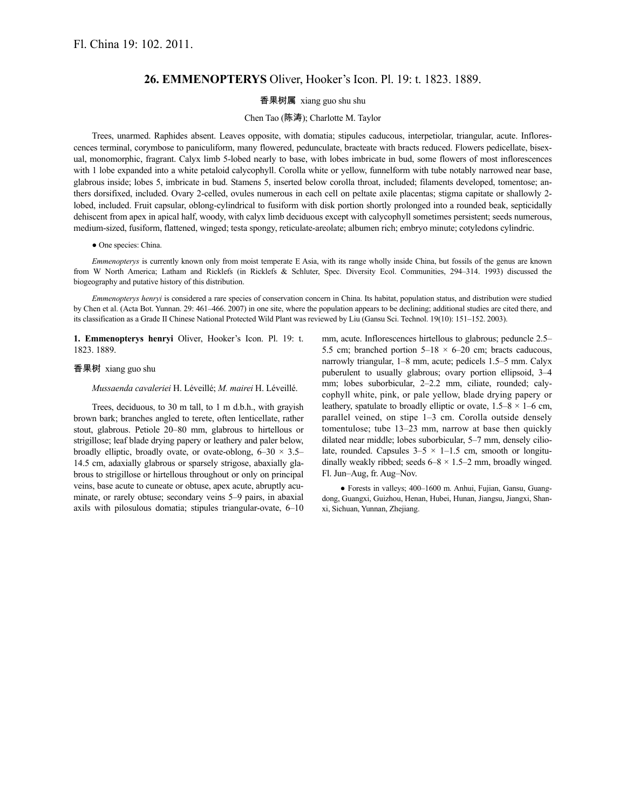## **26. EMMENOPTERYS** Oliver, Hooker's Icon. Pl. 19: t. 1823. 1889.

## 香果树属 xiang guo shu shu

## Chen Tao (陈涛); Charlotte M. Taylor

Trees, unarmed. Raphides absent. Leaves opposite, with domatia; stipules caducous, interpetiolar, triangular, acute. Inflorescences terminal, corymbose to paniculiform, many flowered, pedunculate, bracteate with bracts reduced. Flowers pedicellate, bisexual, monomorphic, fragrant. Calyx limb 5-lobed nearly to base, with lobes imbricate in bud, some flowers of most inflorescences with 1 lobe expanded into a white petaloid calycophyll. Corolla white or yellow, funnelform with tube notably narrowed near base, glabrous inside; lobes 5, imbricate in bud. Stamens 5, inserted below corolla throat, included; filaments developed, tomentose; anthers dorsifixed, included. Ovary 2-celled, ovules numerous in each cell on peltate axile placentas; stigma capitate or shallowly 2 lobed, included. Fruit capsular, oblong-cylindrical to fusiform with disk portion shortly prolonged into a rounded beak, septicidally dehiscent from apex in apical half, woody, with calyx limb deciduous except with calycophyll sometimes persistent; seeds numerous, medium-sized, fusiform, flattened, winged; testa spongy, reticulate-areolate; albumen rich; embryo minute; cotyledons cylindric.

● One species: China.

*Emmenopterys* is currently known only from moist temperate E Asia, with its range wholly inside China, but fossils of the genus are known from W North America; Latham and Ricklefs (in Ricklefs & Schluter, Spec. Diversity Ecol. Communities, 294–314. 1993) discussed the biogeography and putative history of this distribution.

*Emmenopterys henryi* is considered a rare species of conservation concern in China. Its habitat, population status, and distribution were studied by Chen et al. (Acta Bot. Yunnan. 29: 461–466. 2007) in one site, where the population appears to be declining; additional studies are cited there, and its classification as a Grade II Chinese National Protected Wild Plant was reviewed by Liu (Gansu Sci. Technol. 19(10): 151–152. 2003).

**1. Emmenopterys henryi** Oliver, Hooker's Icon. Pl. 19: t. 1823. 1889.

## 香果树 xiang guo shu

*Mussaenda cavaleriei* H. Léveillé; *M. mairei* H. Léveillé.

Trees, deciduous, to 30 m tall, to 1 m d.b.h., with grayish brown bark; branches angled to terete, often lenticellate, rather stout, glabrous. Petiole 20–80 mm, glabrous to hirtellous or strigillose; leaf blade drying papery or leathery and paler below, broadly elliptic, broadly ovate, or ovate-oblong,  $6-30 \times 3.5-$ 14.5 cm, adaxially glabrous or sparsely strigose, abaxially glabrous to strigillose or hirtellous throughout or only on principal veins, base acute to cuneate or obtuse, apex acute, abruptly acuminate, or rarely obtuse; secondary veins 5–9 pairs, in abaxial axils with pilosulous domatia; stipules triangular-ovate, 6–10 mm, acute. Inflorescences hirtellous to glabrous; peduncle 2.5– 5.5 cm; branched portion  $5-18 \times 6-20$  cm; bracts caducous, narrowly triangular, 1–8 mm, acute; pedicels 1.5–5 mm. Calyx puberulent to usually glabrous; ovary portion ellipsoid, 3–4 mm; lobes suborbicular, 2–2.2 mm, ciliate, rounded; calycophyll white, pink, or pale yellow, blade drying papery or leathery, spatulate to broadly elliptic or ovate,  $1.5-8 \times 1-6$  cm, parallel veined, on stipe 1–3 cm. Corolla outside densely tomentulose; tube 13–23 mm, narrow at base then quickly dilated near middle; lobes suborbicular, 5–7 mm, densely ciliolate, rounded. Capsules  $3-5 \times 1-1.5$  cm, smooth or longitudinally weakly ribbed; seeds  $6-8 \times 1.5-2$  mm, broadly winged. Fl. Jun–Aug, fr. Aug–Nov.

● Forests in valleys; 400–1600 m. Anhui, Fujian, Gansu, Guangdong, Guangxi, Guizhou, Henan, Hubei, Hunan, Jiangsu, Jiangxi, Shanxi, Sichuan, Yunnan, Zhejiang.